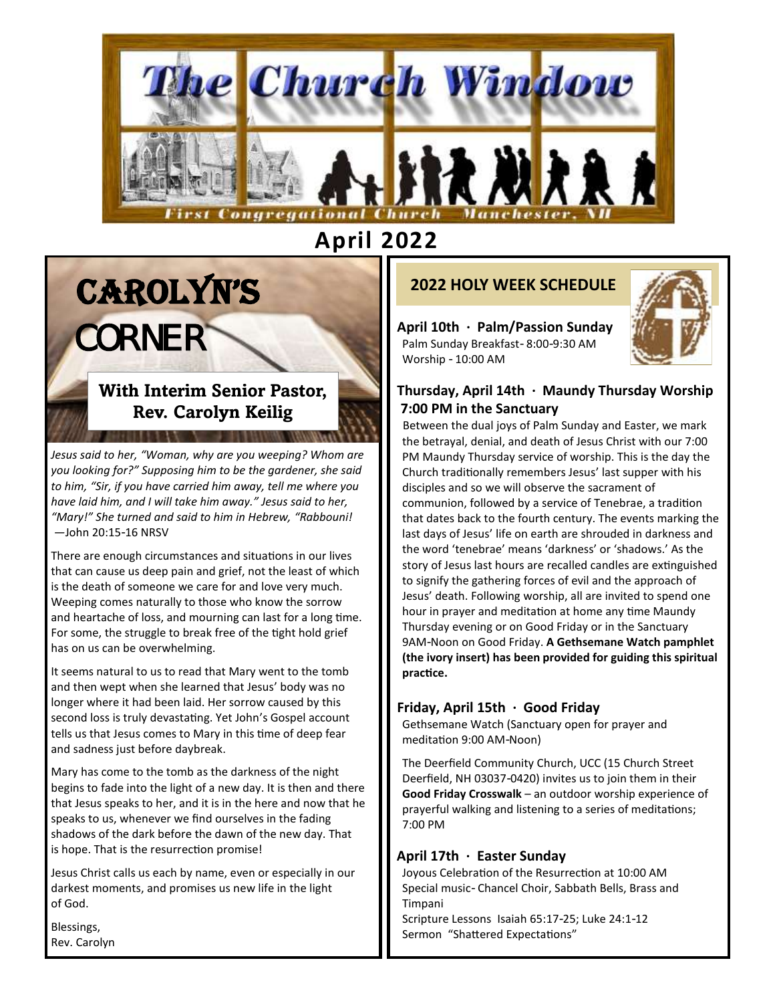

# **April 2022**

# CAROLYN'S CORNER

# **With Interim Senior Pastor, Rev. Carolyn Keilig**

*Jesus said to her, "Woman, why are you weeping? Whom are you looking for?" Supposing him to be the gardener, she said to him, "Sir, if you have carried him away, tell me where you have laid him, and I will take him away." Jesus said to her, "Mary!" She turned and said to him in Hebrew, "Rabbouni! —*John 20:15-16 NRSV

There are enough circumstances and situations in our lives that can cause us deep pain and grief, not the least of which is the death of someone we care for and love very much. Weeping comes naturally to those who know the sorrow and heartache of loss, and mourning can last for a long time. For some, the struggle to break free of the tight hold grief has on us can be overwhelming.

It seems natural to us to read that Mary went to the tomb and then wept when she learned that Jesus' body was no longer where it had been laid. Her sorrow caused by this second loss is truly devastating. Yet John's Gospel account tells us that Jesus comes to Mary in this time of deep fear and sadness just before daybreak.

Mary has come to the tomb as the darkness of the night begins to fade into the light of a new day. It is then and there that Jesus speaks to her, and it is in the here and now that he speaks to us, whenever we find ourselves in the fading shadows of the dark before the dawn of the new day. That is hope. That is the resurrection promise!

Jesus Christ calls us each by name, even or especially in our darkest moments, and promises us new life in the light of God.

Blessings, Rev. Carolyn

# **2022 HOLY WEEK SCHEDULE**

**April 10th · Palm/Passion Sunday**  Palm Sunday Breakfast- 8:00-9:30 AM Worship - 10:00 AM



#### **Thursday, April 14th · Maundy Thursday Worship 7:00 PM in the Sanctuary**

 Between the dual joys of Palm Sunday and Easter, we mark the betrayal, denial, and death of Jesus Christ with our 7:00 PM Maundy Thursday service of worship. This is the day the Church traditionally remembers Jesus' last supper with his disciples and so we will observe the sacrament of communion, followed by a service of Tenebrae, a tradition that dates back to the fourth century. The events marking the last days of Jesus' life on earth are shrouded in darkness and the word 'tenebrae' means 'darkness' or 'shadows.' As the story of Jesus last hours are recalled candles are extinguished to signify the gathering forces of evil and the approach of Jesus' death. Following worship, all are invited to spend one hour in prayer and meditation at home any time Maundy Thursday evening or on Good Friday or in the Sanctuary 9AM-Noon on Good Friday. **A Gethsemane Watch pamphlet (the ivory insert) has been provided for guiding this spiritual practice.**

#### **Friday, April 15th · Good Friday**

 Gethsemane Watch (Sanctuary open for prayer and meditation 9:00 AM-Noon)

 The Deerfield Community Church, UCC (15 Church Street Deerfield, NH 03037-0420) invites us to join them in their **Good Friday Crosswalk** – an outdoor worship experience of prayerful walking and listening to a series of meditations; 7:00 PM

#### **April 17th · Easter Sunday**

 Joyous Celebration of the Resurrection at 10:00 AM Special music- Chancel Choir, Sabbath Bells, Brass and Timpani

 Scripture Lessons Isaiah 65:17-25; Luke 24:1-12 Sermon "Shattered Expectations"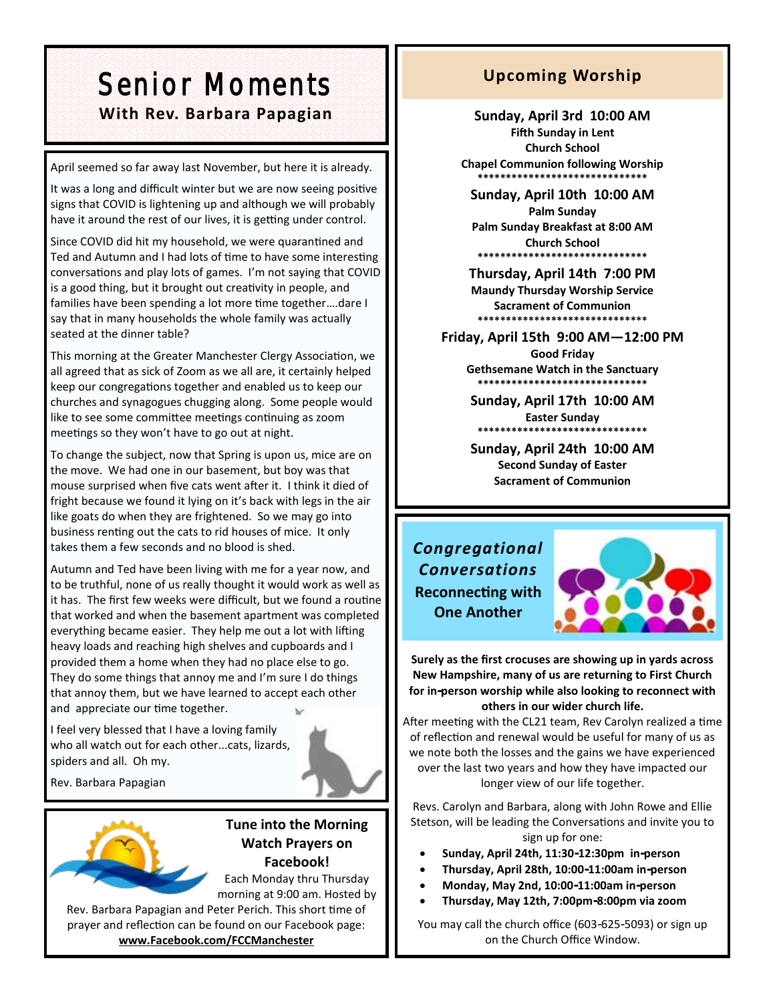# Senior Moments With Rev. Barbara Papagian **Mith Rev. Barbara Papagian** Sunday, April 3rd 10:00 AM

April seemed so far away last November, but here it is already.

It was a long and difficult winter but we are now seeing positive signs that COVID is lightening up and although we will probably have it around the rest of our lives, it is getting under control.

Since COVID did hit my household, we were quarantined and Ted and Autumn and I had lots of time to have some interesting conversations and play lots of games. I'm not saying that COVID is a good thing, but it brought out creativity in people, and families have been spending a lot more time together….dare I say that in many households the whole family was actually seated at the dinner table?

This morning at the Greater Manchester Clergy Association, we all agreed that as sick of Zoom as we all are, it certainly helped keep our congregations together and enabled us to keep our churches and synagogues chugging along. Some people would like to see some committee meetings continuing as zoom meetings so they won't have to go out at night.

To change the subject, now that Spring is upon us, mice are on the move. We had one in our basement, but boy was that mouse surprised when five cats went after it. I think it died of fright because we found it lying on it's back with legs in the air like goats do when they are frightened. So we may go into business renting out the cats to rid houses of mice. It only takes them a few seconds and no blood is shed.

Autumn and Ted have been living with me for a year now, and to be truthful, none of us really thought it would work as well as it has. The first few weeks were difficult, but we found a routine that worked and when the basement apartment was completed everything became easier. They help me out a lot with lifting heavy loads and reaching high shelves and cupboards and I provided them a home when they had no place else to go. They do some things that annoy me and I'm sure I do things that annoy them, but we have learned to accept each other and appreciate our time together.

I feel very blessed that I have a loving family who all watch out for each other...cats, lizards, spiders and all. Oh my.

Rev. Barbara Papagian



**Tune into the Morning Watch Prayers on Facebook!** Each Monday thru Thursday

morning at 9:00 am. Hosted by Rev. Barbara Papagian and Peter Perich. This short time of prayer and reflection can be found on our Facebook page: **www.Facebook.com/FCCManchester**

# **Upcoming Worship**

**Fifth Sunday in Lent Church School Chapel Communion following Worship \*\*\*\*\*\*\*\*\*\*\*\*\*\*\*\*\*\*\*\*\*\*\*\*\*\*\*\*\*\***

**Sunday, April 10th 10:00 AM Palm Sunday Palm Sunday Breakfast at 8:00 AM Church School \*\*\*\*\*\*\*\*\*\*\*\*\*\*\*\*\*\*\*\*\*\*\*\*\*\*\*\*\*\***

**Thursday, April 14th 7:00 PM Maundy Thursday Worship Service Sacrament of Communion \*\*\*\*\*\*\*\*\*\*\*\*\*\*\*\*\*\*\*\*\*\*\*\*\*\*\*\*\*\***

**Friday, April 15th 9:00 AM—12:00 PM Good Friday**

**Gethsemane Watch in the Sanctuary \*\*\*\*\*\*\*\*\*\*\*\*\*\*\*\*\*\*\*\*\*\*\*\*\*\*\*\*\*\***

**Sunday, April 17th 10:00 AM Easter Sunday \*\*\*\*\*\*\*\*\*\*\*\*\*\*\*\*\*\*\*\*\*\*\*\*\*\*\*\*\*\***

**Sunday, April 24th 10:00 AM Second Sunday of Easter Sacrament of Communion**

*Congregational Conversations* **Reconnecting with One Another**



**Surely as the first crocuses are showing up in yards across New Hampshire, many of us are returning to First Church for in-person worship while also looking to reconnect with others in our wider church life.** 

After meeting with the CL21 team, Rev Carolyn realized a time of reflection and renewal would be useful for many of us as we note both the losses and the gains we have experienced over the last two years and how they have impacted our longer view of our life together.

Revs. Carolyn and Barbara, along with John Rowe and Ellie Stetson, will be leading the Conversations and invite you to sign up for one:

- **Sunday, April 24th, 11:30-12:30pm in-person**
- **Thursday, April 28th, 10:00-11:00am in-person**
- **Monday, May 2nd, 10:00-11:00am in-person**
- **Thursday, May 12th, 7:00pm-8:00pm via zoom**

You may call the church office (603-625-5093) or sign up on the Church Office Window.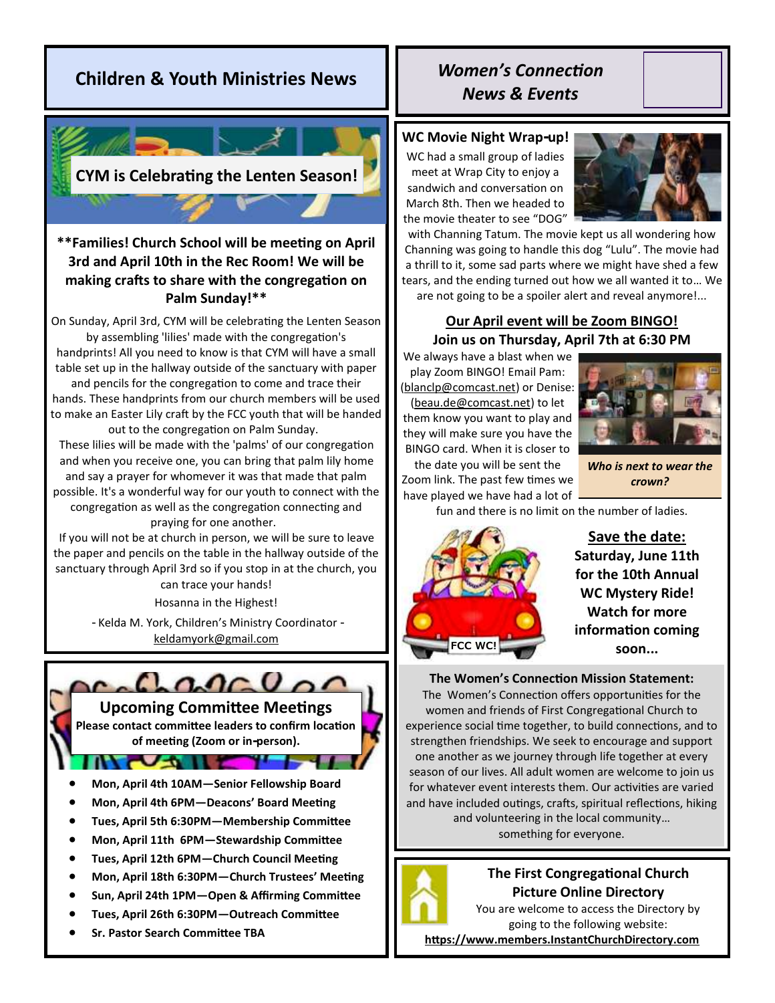# **Children & Youth Ministries News**



### **\*\*Families! Church School will be meeting on April 3rd and April 10th in the Rec Room! We will be making crafts to share with the congregation on Palm Sunday!\*\***

On Sunday, April 3rd, CYM will be celebrating the Lenten Season by assembling 'lilies' made with the congregation's handprints! All you need to know is that CYM will have a small table set up in the hallway outside of the sanctuary with paper and pencils for the congregation to come and trace their hands. These handprints from our church members will be used to make an Easter Lily craft by the FCC youth that will be handed out to the congregation on Palm Sunday.

These lilies will be made with the 'palms' of our congregation and when you receive one, you can bring that palm lily home and say a prayer for whomever it was that made that palm possible. It's a wonderful way for our youth to connect with the congregation as well as the congregation connecting and praying for one another.

If you will not be at church in person, we will be sure to leave the paper and pencils on the table in the hallway outside of the sanctuary through April 3rd so if you stop in at the church, you

can trace your hands! Hosanna in the Highest!

- Kelda M. York, Children's Ministry Coordinator [keldamyork@gmail.com](mailto:keldamyork@gmail.com)



#### **Upcoming Committee Meetings**

**Please contact committee leaders to confirm location of meeting (Zoom or in-person).**

**THE** 

**TVAILE** 

- **Mon, April 4th 10AM—Senior Fellowship Board**
- **Mon, April 4th 6PM—Deacons' Board Meeting**
- **Tues, April 5th 6:30PM—Membership Committee**
- **Mon, April 11th 6PM—Stewardship Committee**
- **Tues, April 12th 6PM—Church Council Meeting**
- **Mon, April 18th 6:30PM—Church Trustees' Meeting**
- **Sun, April 24th 1PM—Open & Affirming Committee**
- **Tues, April 26th 6:30PM—Outreach Committee**
- **Sr. Pastor Search Committee TBA**

# *Women's Connection News & Events*

#### **WC Movie Night Wrap-up!**

WC had a small group of ladies meet at Wrap City to enjoy a sandwich and conversation on March 8th. Then we headed to the movie theater to see "DOG"



with Channing Tatum. The movie kept us all wondering how Channing was going to handle this dog "Lulu". The movie had a thrill to it, some sad parts where we might have shed a few tears, and the ending turned out how we all wanted it to… We are not going to be a spoiler alert and reveal anymore!...

#### **Our April event will be Zoom BINGO! Join us on Thursday, April 7th at 6:30 PM**

We always have a blast when we play Zoom BINGO! Email Pam: (blanclp@comcast.net) or Denise: (beau.de@comcast.net) to let them know you want to play and they will make sure you have the BINGO card. When it is closer to



the date you will be sent the Zoom link. The past few times we have played we have had a lot of

*Who is next to wear the crown?*

fun and there is no limit on the number of ladies.



**Save the date: Saturday, June 11th for the 10th Annual WC Mystery Ride! Watch for more information coming soon...** 

**The Women's Connection Mission Statement:**  The Women's Connection offers opportunities for the women and friends of First Congregational Church to experience social time together, to build connections, and to strengthen friendships. We seek to encourage and support one another as we journey through life together at every season of our lives. All adult women are welcome to join us for whatever event interests them. Our activities are varied and have included outings, crafts, spiritual reflections, hiking and volunteering in the local community… something for everyone.



**The First Congregational Church Picture Online Directory** 

You are welcome to access the Directory by going to the following website:

**https://www.members.InstantChurchDirectory.com**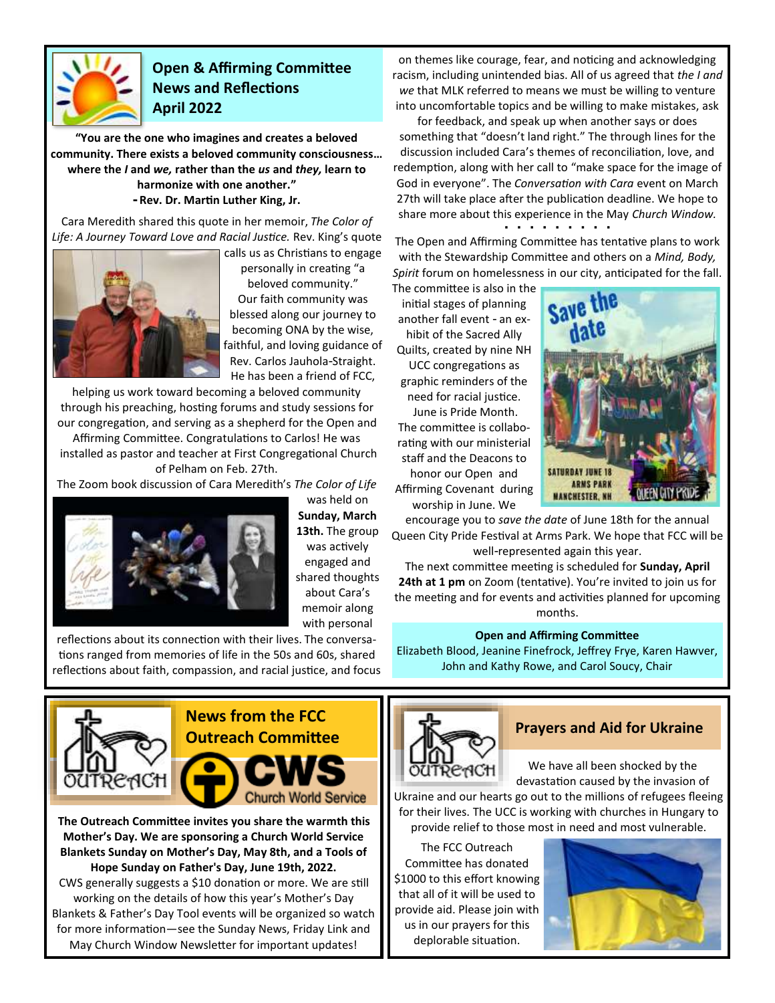

## **Open & Affirming Committee News and Reflections April 2022**

**"You are the one who imagines and creates a beloved community. There exists a beloved community consciousness… where the** *I* **and** *we,* **rather than the** *us* **and** *they,* **learn to harmonize with one another." - Rev. Dr. Martin Luther King, Jr.**

Cara Meredith shared this quote in her memoir, *The Color of Life: A Journey Toward Love and Racial Justice.* Rev. King's quote



calls us as Christians to engage personally in creating "a beloved community." Our faith community was blessed along our journey to becoming ONA by the wise, faithful, and loving guidance of Rev. Carlos Jauhola-Straight. He has been a friend of FCC,

helping us work toward becoming a beloved community through his preaching, hosting forums and study sessions for our congregation, and serving as a shepherd for the Open and

Affirming Committee. Congratulations to Carlos! He was installed as pastor and teacher at First Congregational Church of Pelham on Feb. 27th.

The Zoom book discussion of Cara Meredith's *The Color of Life* 



was held on **Sunday, March 13th.** The group was actively engaged and shared thoughts about Cara's memoir along with personal

reflections about its connection with their lives. The conversations ranged from memories of life in the 50s and 60s, shared reflections about faith, compassion, and racial justice, and focus



**The Outreach Committee invites you share the warmth this Mother's Day. We are sponsoring a Church World Service Blankets Sunday on Mother's Day, May 8th, and a Tools of Hope Sunday on Father's Day, June 19th, 2022.**  CWS generally suggests a \$10 donation or more. We are still working on the details of how this year's Mother's Day Blankets & Father's Day Tool events will be organized so watch for more information—see the Sunday News, Friday Link and May Church Window Newsletter for important updates!

on themes like courage, fear, and noticing and acknowledging racism, including unintended bias. All of us agreed that *the I and we* that MLK referred to means we must be willing to venture into uncomfortable topics and be willing to make mistakes, ask

for feedback, and speak up when another says or does something that "doesn't land right." The through lines for the discussion included Cara's themes of reconciliation, love, and redemption, along with her call to "make space for the image of God in everyone". The *Conversation with Cara* event on March 27th will take place after the publication deadline. We hope to share more about this experience in the May *Church Window.* **▪ ▪ ▪ ▪ ▪ ▪ ▪ ▪ ▪** 

The Open and Affirming Committee has tentative plans to work with the Stewardship Committee and others on a *Mind, Body, Spirit* forum on homelessness in our city, anticipated for the fall.

The committee is also in the initial stages of planning another fall event - an exhibit of the Sacred Ally Quilts, created by nine NH UCC congregations as graphic reminders of the need for racial justice. June is Pride Month. The committee is collaborating with our ministerial staff and the Deacons to honor our Open and Affirming Covenant during worship in June. We



encourage you to *save the date* of June 18th for the annual Queen City Pride Festival at Arms Park. We hope that FCC will be well-represented again this year.

The next committee meeting is scheduled for **Sunday, April 24th at 1 pm** on Zoom (tentative). You're invited to join us for the meeting and for events and activities planned for upcoming months.

#### **Open and Affirming Committee**

Elizabeth Blood, Jeanine Finefrock, Jeffrey Frye, Karen Hawver, John and Kathy Rowe, and Carol Soucy, Chair



#### **Prayers and Aid for Ukraine**

We have all been shocked by the devastation caused by the invasion of

Ukraine and our hearts go out to the millions of refugees fleeing for their lives. The UCC is working with churches in Hungary to provide relief to those most in need and most vulnerable.

The FCC Outreach Committee has donated \$1000 to this effort knowing that all of it will be used to provide aid. Please join with us in our prayers for this deplorable situation.

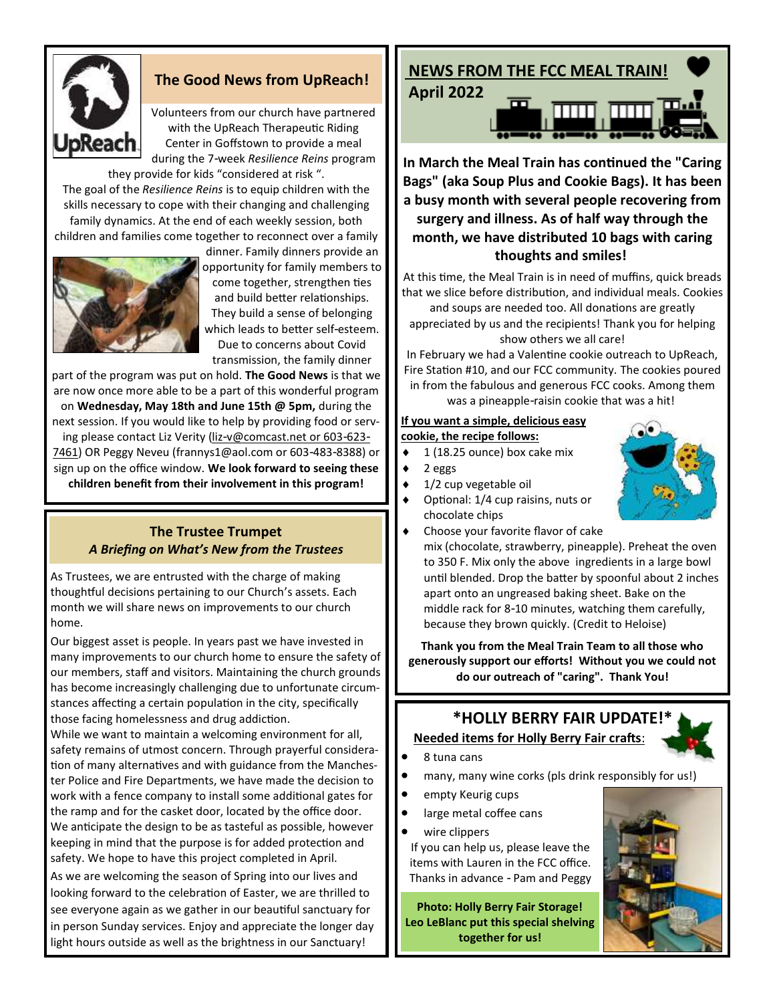

### **The Good News from UpReach!**

Volunteers from our church have partnered with the UpReach Therapeutic Riding Center in Goffstown to provide a meal during the 7-week *Resilience Reins* program they provide for kids "considered at risk ".

The goal of the *Resilience Reins* is to equip children with the skills necessary to cope with their changing and challenging family dynamics. At the end of each weekly session, both children and families come together to reconnect over a family



dinner. Family dinners provide an opportunity for family members to come together, strengthen ties and build better relationships. They build a sense of belonging which leads to better self-esteem. Due to concerns about Covid transmission, the family dinner

part of the program was put on hold. **The Good News** is that we are now once more able to be a part of this wonderful program on **Wednesday, May 18th and June 15th @ 5pm,** during the next session. If you would like to help by providing food or serving please contact Liz Verity ([liz-v@comcast.net o](mailto:liz-v@comcast.net)r 603-623- 7461) OR Peggy Neveu (frannys1@aol.com or 603-483-8388) or sign up on the office window. **We look forward to seeing these children benefit from their involvement in this program!**

#### **The Trustee Trumpet** *A Briefing on What's New from the Trustees*

As Trustees, we are entrusted with the charge of making thoughtful decisions pertaining to our Church's assets. Each month we will share news on improvements to our church home.

Our biggest asset is people. In years past we have invested in many improvements to our church home to ensure the safety of our members, staff and visitors. Maintaining the church grounds has become increasingly challenging due to unfortunate circumstances affecting a certain population in the city, specifically those facing homelessness and drug addiction.

While we want to maintain a welcoming environment for all, safety remains of utmost concern. Through prayerful consideration of many alternatives and with guidance from the Manchester Police and Fire Departments, we have made the decision to work with a fence company to install some additional gates for the ramp and for the casket door, located by the office door. We anticipate the design to be as tasteful as possible, however keeping in mind that the purpose is for added protection and safety. We hope to have this project completed in April.

As we are welcoming the season of Spring into our lives and looking forward to the celebration of Easter, we are thrilled to see everyone again as we gather in our beautiful sanctuary for in person Sunday services. Enjoy and appreciate the longer day light hours outside as well as the brightness in our Sanctuary!

# **NEWS FROM THE FCC MEAL TRAIN!**

**April 2022**



**In March the Meal Train has continued the "Caring Bags" (aka Soup Plus and Cookie Bags). It has been a busy month with several people recovering from surgery and illness. As of half way through the month, we have distributed 10 bags with caring thoughts and smiles!**

At this time, the Meal Train is in need of muffins, quick breads that we slice before distribution, and individual meals. Cookies and soups are needed too. All donations are greatly appreciated by us and the recipients! Thank you for helping show others we all care!

In February we had a Valentine cookie outreach to UpReach, Fire Station #10, and our FCC community. The cookies poured in from the fabulous and generous FCC cooks. Among them was a pineapple-raisin cookie that was a hit!

#### **If you want a simple, delicious easy cookie, the recipe follows:**

## $\bullet$  1 (18.25 ounce) box cake mix

- $\bullet$  2 eggs
- $\bullet$  1/2 cup vegetable oil
- Optional: 1/4 cup raisins, nuts or chocolate chips



 Choose your favorite flavor of cake mix (chocolate, strawberry, pineapple). Preheat the oven to 350 F. Mix only the above ingredients in a large bowl until blended. Drop the batter by spoonful about 2 inches apart onto an ungreased baking sheet. Bake on the middle rack for 8-10 minutes, watching them carefully, because they brown quickly. (Credit to Heloise)

**Thank you from the Meal Train Team to all those who generously support our efforts! Without you we could not do our outreach of "caring". Thank You!**

# **\*HOLLY BERRY FAIR UPDATE!\* Needed items for Holly Berry Fair crafts**:

- 8 tuna cans
- many, many wine corks (pls drink responsibly for us!)
- empty Keurig cups
- large metal coffee cans
- wire clippers

If you can help us, please leave the items with Lauren in the FCC office. Thanks in advance - Pam and Peggy

**Photo: Holly Berry Fair Storage! Leo LeBlanc put this special shelving together for us!**

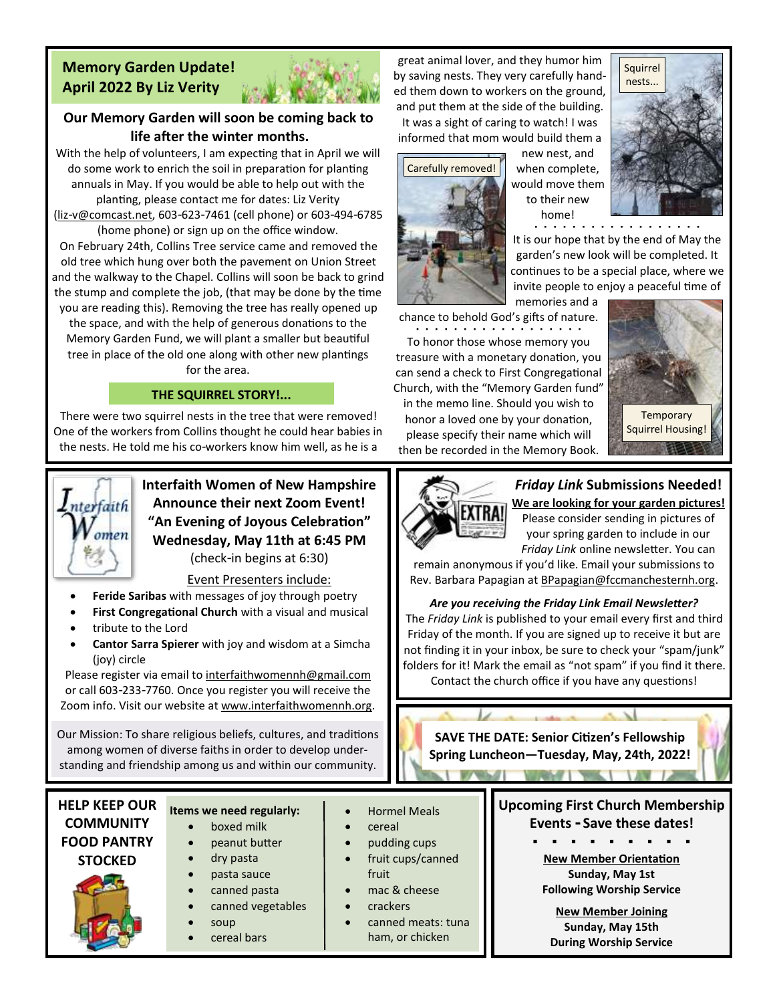### **Memory Garden Update! April 2022 By Liz Verity**



### **Our Memory Garden will soon be coming back to life after the winter months.**

With the help of volunteers, I am expecting that in April we will do some work to enrich the soil in preparation for planting annuals in May. If you would be able to help out with the planting, please contact me for dates: Liz Verity

[\(liz-v@comcast.net,](mailto:liz-v@comcast.net) 603-623-7461 (cell phone) or 603-494-6785 (home phone) or sign up on the office window.

On February 24th, Collins Tree service came and removed the old tree which hung over both the pavement on Union Street and the walkway to the Chapel. Collins will soon be back to grind the stump and complete the job, (that may be done by the time you are reading this). Removing the tree has really opened up

the space, and with the help of generous donations to the Memory Garden Fund, we will plant a smaller but beautiful tree in place of the old one along with other new plantings for the area.

#### **THE SQUIRREL STORY!...**

There were two squirrel nests in the tree that were removed! One of the workers from Collins thought he could hear babies in the nests. He told me his co-workers know him well, as he is a



**Interfaith Women of New Hampshire Announce their next Zoom Event! "An Evening of Joyous Celebration" Wednesday, May 11th at 6:45 PM** (check-in begins at 6:30)

Event Presenters include:

- **Feride Saribas** with messages of joy through poetry
- **First Congregational Church** with a visual and musical
- tribute to the Lord
- **Cantor Sarra Spierer** with joy and wisdom at a Simcha (joy) circle

Please register via email to interfaithwomennh@gmail.com or call 603-233-7760. Once you register you will receive the Zoom info. Visit our website at www.interfaithwomennh.org.

Our Mission: To share religious beliefs, cultures, and traditions among women of diverse faiths in order to develop understanding and friendship among us and within our community.

**HELP KEEP OUR COMMUNITY FOOD PANTRY STOCKED**

#### **Items we need regularly:**

- boxed milk • peanut butter
- dry pasta
- pasta sauce
- canned pasta
- canned vegetables
- soup
- 
- cereal bars

great animal lover, and they humor him by saving nests. They very carefully handed them down to workers on the ground, and put them at the side of the building. It was a sight of caring to watch! I was informed that mom would build them a



new nest, and when complete, would move them to their new home!



**▪ ▪ ▪ ▪ ▪ ▪ ▪ ▪ ▪ ▪ ▪ ▪ ▪ ▪ ▪ ▪ ▪ ▪**  It is our hope that by the end of May the garden's new look will be completed. It continues to be a special place, where we invite people to enjoy a peaceful time of

memories and a chance to behold God's gifts of nature. **▪ ▪ ▪ ▪ ▪ ▪ ▪ ▪ ▪ ▪ ▪ ▪ ▪ ▪ ▪ ▪ ▪ ▪** 

To honor those whose memory you treasure with a monetary donation, you can send a check to First Congregational Church, with the "Memory Garden fund" in the memo line. Should you wish to honor a loved one by your donation, please specify their name which will then be recorded in the Memory Book.



2월 20일

EXTRA!

• Hormel Meals • cereal

• pudding cups • fruit cups/canned

> • canned meats: tuna ham, or chicken

fruit • mac & cheese • crackers

#### *Friday Link* **Submissions Needed!**

**We are looking for your garden pictures!** Please consider sending in pictures of your spring garden to include in our *Friday Link* online newsletter. You can

remain anonymous if you'd like. Email your submissions to Rev. Barbara Papagian at BPapagian@fccmanchesternh.org.

#### *Are you receiving the Friday Link Email Newsletter?*

The *Friday Link* is published to your email every first and third Friday of the month. If you are signed up to receive it but are not finding it in your inbox, be sure to check your "spam/junk" folders for it! Mark the email as "not spam" if you find it there. Contact the church office if you have any questions!

**SAVE THE DATE: Senior Citizen's Fellowship Spring Luncheon—Tuesday, May, 24th, 2022!**

**Market Comment Comment Comment** 

**All Controller Controller** 





**▪ ▪ ▪ ▪ ▪ ▪ ▪ ▪ ▪ New Member Orientation Sunday, May 1st Following Worship Service**

**New Member Joining Sunday, May 15th During Worship Service**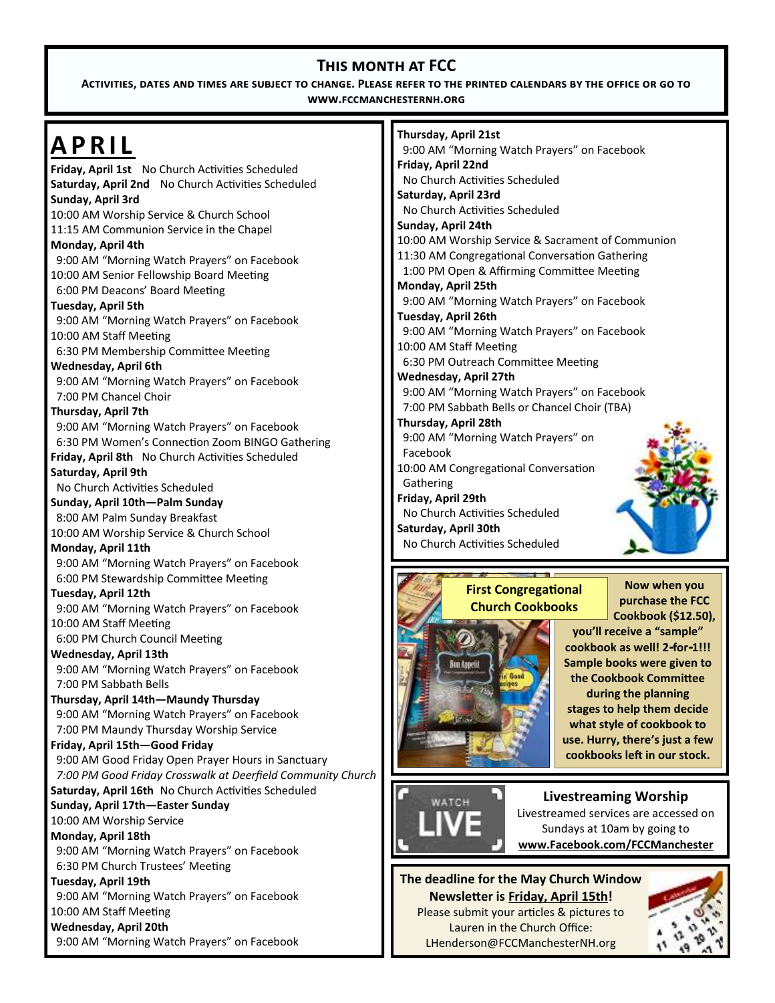# **This month at FCC**

**Activities, dates and times are subject to change. Please refer to the printed calendars by the office or go to www.fccmanchesternh.org**

| <b>APRIL</b>                                                         | Thursday, April 21st                                           |
|----------------------------------------------------------------------|----------------------------------------------------------------|
|                                                                      | 9:00 AM "Morning Watch Prayers" on Facebook                    |
| Friday, April 1st No Church Activities Scheduled                     | Friday, April 22nd                                             |
| Saturday, April 2nd No Church Activities Scheduled                   | No Church Activities Scheduled                                 |
| Sunday, April 3rd                                                    | Saturday, April 23rd                                           |
| 10:00 AM Worship Service & Church School                             | No Church Activities Scheduled                                 |
| 11:15 AM Communion Service in the Chapel                             | Sunday, April 24th                                             |
| Monday, April 4th                                                    | 10:00 AM Worship Service & Sacrament of Communion              |
| 9:00 AM "Morning Watch Prayers" on Facebook                          | 11:30 AM Congregational Conversation Gathering                 |
| 10:00 AM Senior Fellowship Board Meeting                             | 1:00 PM Open & Affirming Committee Meeting                     |
| 6:00 PM Deacons' Board Meeting                                       | Monday, April 25th                                             |
| Tuesday, April 5th                                                   | 9:00 AM "Morning Watch Prayers" on Facebook                    |
| 9:00 AM "Morning Watch Prayers" on Facebook                          | Tuesday, April 26th                                            |
| 10:00 AM Staff Meeting                                               | 9:00 AM "Morning Watch Prayers" on Facebook                    |
| 6:30 PM Membership Committee Meeting                                 | 10:00 AM Staff Meeting                                         |
| Wednesday, April 6th                                                 | 6:30 PM Outreach Committee Meeting                             |
| 9:00 AM "Morning Watch Prayers" on Facebook                          | <b>Wednesday, April 27th</b>                                   |
| 7:00 PM Chancel Choir                                                | 9:00 AM "Morning Watch Prayers" on Facebook                    |
| Thursday, April 7th                                                  | 7:00 PM Sabbath Bells or Chancel Choir (TBA)                   |
| 9:00 AM "Morning Watch Prayers" on Facebook                          | Thursday, April 28th                                           |
| 6:30 PM Women's Connection Zoom BINGO Gathering                      | 9:00 AM "Morning Watch Prayers" on                             |
| Friday, April 8th No Church Activities Scheduled                     | Facebook                                                       |
| Saturday, April 9th                                                  | 10:00 AM Congregational Conversation                           |
| No Church Activities Scheduled                                       | Gathering                                                      |
| Sunday, April 10th-Palm Sunday                                       | Friday, April 29th                                             |
| 8:00 AM Palm Sunday Breakfast                                        | No Church Activities Scheduled                                 |
| 10:00 AM Worship Service & Church School                             | Saturday, April 30th                                           |
| Monday, April 11th                                                   | No Church Activities Scheduled                                 |
| 9:00 AM "Morning Watch Prayers" on Facebook                          |                                                                |
| 6:00 PM Stewardship Committee Meeting                                |                                                                |
|                                                                      |                                                                |
| Tuesday, April 12th                                                  | Now when you<br><b>First Congregational</b>                    |
| 9:00 AM "Morning Watch Prayers" on Facebook                          | purchase the FCC<br><b>Church Cookbooks</b>                    |
| 10:00 AM Staff Meeting                                               | Cookbook (\$12.50),                                            |
| 6:00 PM Church Council Meeting                                       | you'll receive a "sample"                                      |
| Wednesday, April 13th                                                | cookbook as well! 2-for-1!!!                                   |
| 9:00 AM "Morning Watch Prayers" on Facebook                          | Sample books were given to<br>Bun Appelit<br>Gosd              |
| 7:00 PM Sabbath Bells                                                | the Cookbook Committee                                         |
| Thursday, April 14th-Maundy Thursday                                 | during the planning                                            |
| 9:00 AM "Morning Watch Prayers" on Facebook                          | stages to help them decide                                     |
| 7:00 PM Maundy Thursday Worship Service                              | what style of cookbook to                                      |
| Friday, April 15th-Good Friday                                       | use. Hurry, there's just a few                                 |
| 9:00 AM Good Friday Open Prayer Hours in Sanctuary                   | cookbooks left in our stock.                                   |
| 7:00 PM Good Friday Crosswalk at Deerfield Community Church          |                                                                |
| Saturday, April 16th No Church Activities Scheduled                  |                                                                |
| Sunday, April 17th-Easter Sunday                                     | <b>Livestreaming Worship</b><br>WATCH                          |
| 10:00 AM Worship Service                                             | Livestreamed services are accessed on                          |
| Monday, April 18th                                                   | Sundays at 10am by going to                                    |
| 9:00 AM "Morning Watch Prayers" on Facebook                          | www.Facebook.com/FCCManchester                                 |
| 6:30 PM Church Trustees' Meeting                                     |                                                                |
| Tuesday, April 19th                                                  | The deadline for the May Church Window                         |
| 9:00 AM "Morning Watch Prayers" on Facebook                          | Newsletter is Friday, April 15th!                              |
| 10:00 AM Staff Meeting                                               | Please submit your articles & pictures to                      |
| Wednesday, April 20th<br>9:00 AM "Morning Watch Prayers" on Facebook | Lauren in the Church Office:<br>LHenderson@FCCManchesterNH.org |